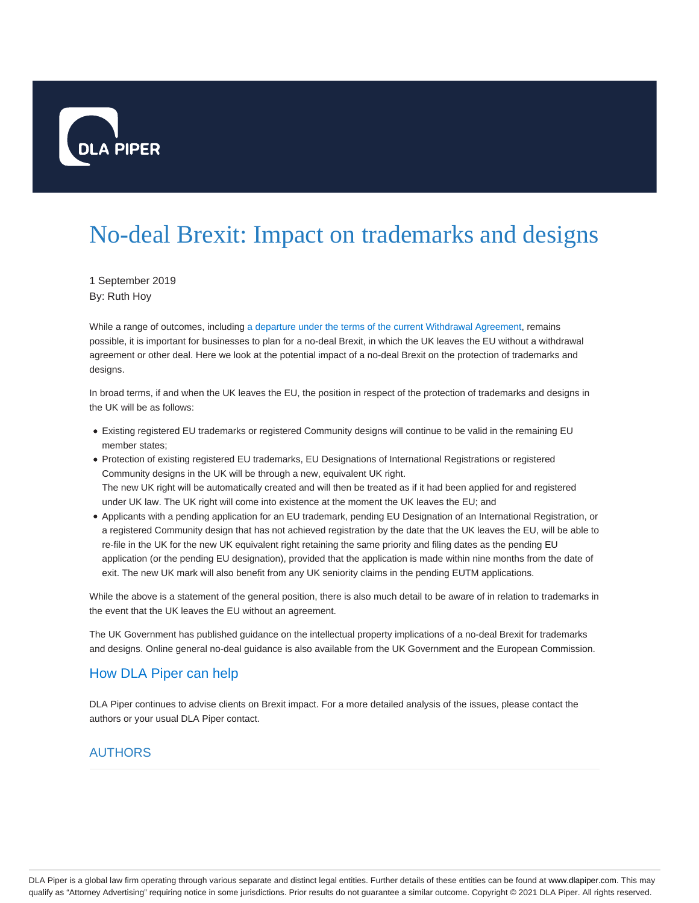

## No-deal Brexit: Impact on trademarks and designs

1 September 2019 By: Ruth Hoy

While a range of outcomes, including a departure under the terms of the current Withdrawal Agreement, remains possible, it is important for businesses to plan for a no-deal Brexit, in which the UK leaves the EU without a withdrawal agreement or other deal. Here we look at the potential impact of a no-deal Brexit on the protection of trademarks and designs.

In broad terms, if and when the UK leaves the EU, the position in respect of the protection of trademarks and designs in the UK will be as follows:

- Existing registered EU trademarks or registered Community designs will continue to be valid in the remaining EU member states;
- Protection of existing registered EU trademarks, EU Designations of International Registrations or registered Community designs in the UK will be through a new, equivalent UK right. The new UK right will be automatically created and will then be treated as if it had been applied for and registered under UK law. The UK right will come into existence at the moment the UK leaves the EU; and
- Applicants with a pending application for an EU trademark, pending EU Designation of an International Registration, or a registered Community design that has not achieved registration by the date that the UK leaves the EU, will be able to re-file in the UK for the new UK equivalent right retaining the same priority and filing dates as the pending EU application (or the pending EU designation), provided that the application is made within nine months from the date of exit. The new UK mark will also benefit from any UK seniority claims in the pending EUTM applications.

While the above is a statement of the general position, there is also much detail to be aware of in relation to trademarks in the event that the UK leaves the EU without an agreement.

The UK Government has published guidance on the intellectual property implications of a no-deal Brexit for trademarks and designs. Online general no-deal guidance is also available from the UK Government and the European Commission.

## How DLA Piper can help

DLA Piper continues to advise clients on Brexit impact. For a more detailed analysis of the issues, please contact the authors or your usual DLA Piper contact.

## AUTHORS

DLA Piper is a global law firm operating through various separate and distinct legal entities. Further details of these entities can be found at www.dlapiper.com. This may qualify as "Attorney Advertising" requiring notice in some jurisdictions. Prior results do not guarantee a similar outcome. Copyright © 2021 DLA Piper. All rights reserved.